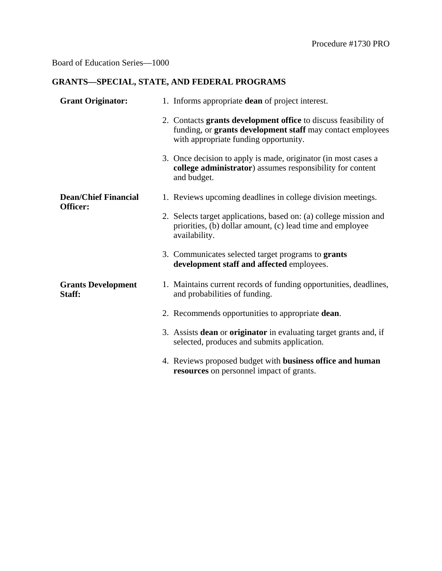## Board of Education Series—1000

## **GRANTS—SPECIAL, STATE, AND FEDERAL PROGRAMS**

| <b>Grant Originator:</b>                | 1. Informs appropriate dean of project interest.                                                                                                                       |
|-----------------------------------------|------------------------------------------------------------------------------------------------------------------------------------------------------------------------|
|                                         | 2. Contacts grants development office to discuss feasibility of<br>funding, or grants development staff may contact employees<br>with appropriate funding opportunity. |
|                                         | 3. Once decision to apply is made, originator (in most cases a<br>college administrator) assumes responsibility for content<br>and budget.                             |
| <b>Dean/Chief Financial</b><br>Officer: | 1. Reviews upcoming deadlines in college division meetings.                                                                                                            |
|                                         | 2. Selects target applications, based on: (a) college mission and<br>priorities, (b) dollar amount, (c) lead time and employee<br>availability.                        |
|                                         | 3. Communicates selected target programs to grants<br>development staff and affected employees.                                                                        |
| <b>Grants Development</b><br>Staff:     | 1. Maintains current records of funding opportunities, deadlines,<br>and probabilities of funding.                                                                     |
|                                         | 2. Recommends opportunities to appropriate dean.                                                                                                                       |
|                                         | 3. Assists <b>dean</b> or <b>originator</b> in evaluating target grants and, if<br>selected, produces and submits application.                                         |
|                                         | 4. Reviews proposed budget with business office and human<br>resources on personnel impact of grants.                                                                  |